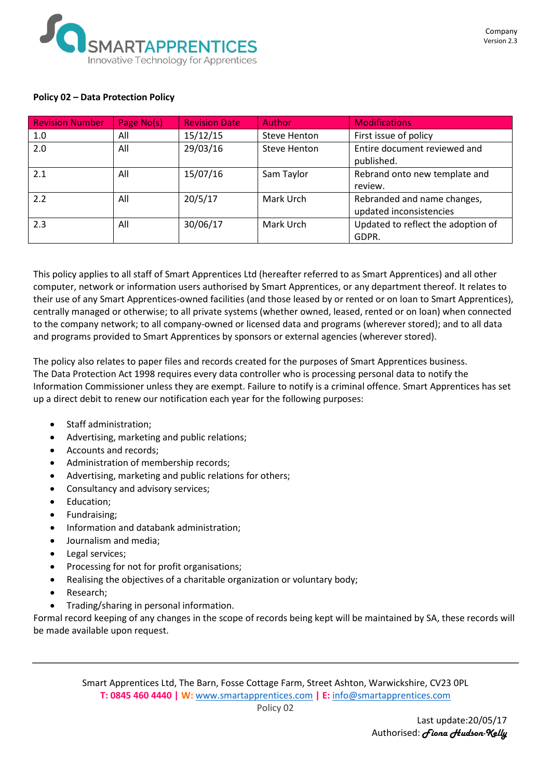

#### **Policy 02 – Data Protection Policy**

| <b>Revision Number</b> | Page No(s) | <b>Revision Date</b> | Author       | <b>Modifications</b>                                   |
|------------------------|------------|----------------------|--------------|--------------------------------------------------------|
| 1.0                    | All        | 15/12/15             | Steve Henton | First issue of policy                                  |
| 2.0                    | All        | 29/03/16             | Steve Henton | Entire document reviewed and<br>published.             |
| 2.1                    | All        | 15/07/16             | Sam Taylor   | Rebrand onto new template and<br>review.               |
| 2.2                    | All        | 20/5/17              | Mark Urch    | Rebranded and name changes,<br>updated inconsistencies |
| 2.3                    | All        | 30/06/17             | Mark Urch    | Updated to reflect the adoption of<br>GDPR.            |

This policy applies to all staff of Smart Apprentices Ltd (hereafter referred to as Smart Apprentices) and all other computer, network or information users authorised by Smart Apprentices, or any department thereof. It relates to their use of any Smart Apprentices-owned facilities (and those leased by or rented or on loan to Smart Apprentices), centrally managed or otherwise; to all private systems (whether owned, leased, rented or on loan) when connected to the company network; to all company-owned or licensed data and programs (wherever stored); and to all data and programs provided to Smart Apprentices by sponsors or external agencies (wherever stored).

The policy also relates to paper files and records created for the purposes of Smart Apprentices business. The Data Protection Act 1998 requires every data controller who is processing personal data to notify the Information Commissioner unless they are exempt. Failure to notify is a criminal offence. Smart Apprentices has set up a direct debit to renew our notification each year for the following purposes:

- Staff administration;
- Advertising, marketing and public relations;
- Accounts and records;
- Administration of membership records;
- Advertising, marketing and public relations for others;
- Consultancy and advisory services;
- Education;
- Fundraising;
- Information and databank administration;
- Journalism and media;
- Legal services;
- Processing for not for profit organisations;
- Realising the objectives of a charitable organization or voluntary body;
- Research;
- Trading/sharing in personal information.

Formal record keeping of any changes in the scope of records being kept will be maintained by SA, these records will be made available upon request.

Smart Apprentices Ltd, The Barn, Fosse Cottage Farm, Street Ashton, Warwickshire, CV23 0PL **T: 0845 460 4440 | W:** [www.smartapprentices.com](http://www.smartapprentices.com/) **| E:** [info@smartapprentices.com](mailto:info@smartapprentices.com)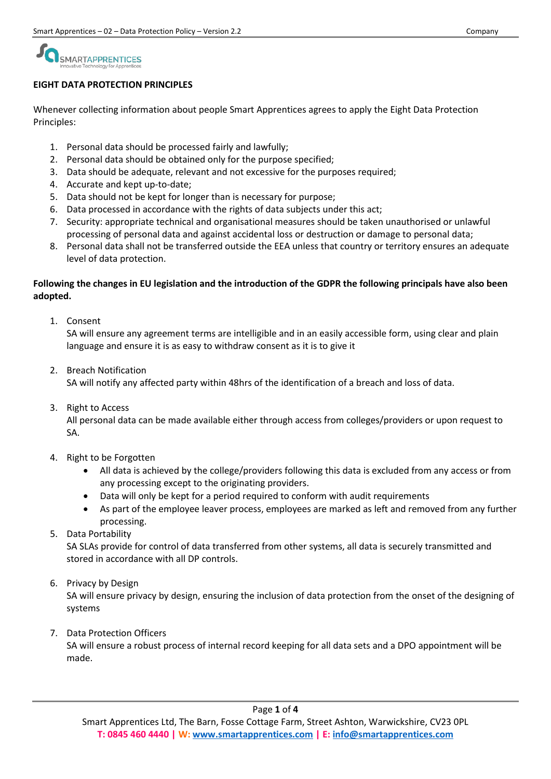## SMARTAPPRENTICES

#### **EIGHT DATA PROTECTION PRINCIPLES**

Whenever collecting information about people Smart Apprentices agrees to apply the Eight Data Protection Principles:

- 1. Personal data should be processed fairly and lawfully;
- 2. Personal data should be obtained only for the purpose specified;
- 3. Data should be adequate, relevant and not excessive for the purposes required;
- 4. Accurate and kept up-to-date;
- 5. Data should not be kept for longer than is necessary for purpose;
- 6. Data processed in accordance with the rights of data subjects under this act;
- 7. Security: appropriate technical and organisational measures should be taken unauthorised or unlawful processing of personal data and against accidental loss or destruction or damage to personal data;
- 8. Personal data shall not be transferred outside the EEA unless that country or territory ensures an adequate level of data protection.

#### **Following the changes in EU legislation and the introduction of the GDPR the following principals have also been adopted.**

1. Consent

SA will ensure any agreement terms are intelligible and in an easily accessible form, using clear and plain language and ensure it is as easy to withdraw consent as it is to give it

2. Breach Notification

SA will notify any affected party within 48hrs of the identification of a breach and loss of data.

3. Right to Access

All personal data can be made available either through access from colleges/providers or upon request to SA.

- 4. Right to be Forgotten
	- All data is achieved by the college/providers following this data is excluded from any access or from any processing except to the originating providers.
	- Data will only be kept for a period required to conform with audit requirements
	- As part of the employee leaver process, employees are marked as left and removed from any further processing.
- 5. Data Portability

SA SLAs provide for control of data transferred from other systems, all data is securely transmitted and stored in accordance with all DP controls.

6. Privacy by Design

SA will ensure privacy by design, ensuring the inclusion of data protection from the onset of the designing of systems

7. Data Protection Officers

SA will ensure a robust process of internal record keeping for all data sets and a DPO appointment will be made.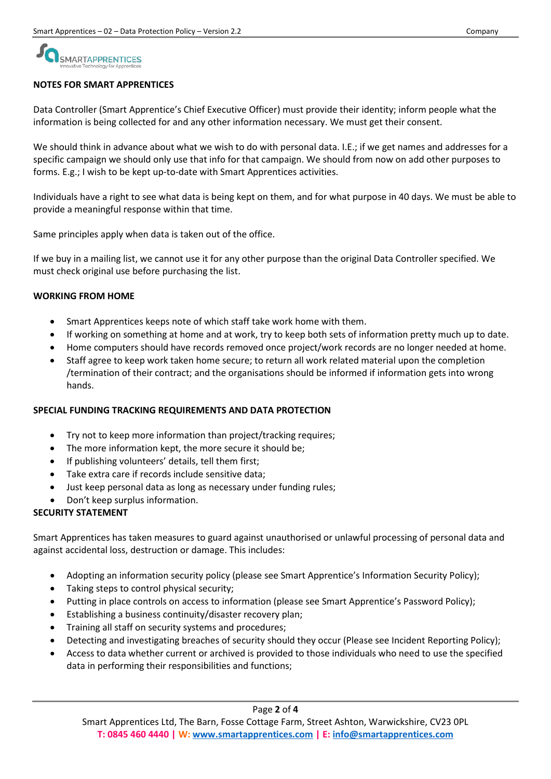# SMARTAPPRENTICES

#### **NOTES FOR SMART APPRENTICES**

Data Controller (Smart Apprentice's Chief Executive Officer) must provide their identity; inform people what the information is being collected for and any other information necessary. We must get their consent.

We should think in advance about what we wish to do with personal data. I.E.; if we get names and addresses for a specific campaign we should only use that info for that campaign. We should from now on add other purposes to forms. E.g.; I wish to be kept up-to-date with Smart Apprentices activities.

Individuals have a right to see what data is being kept on them, and for what purpose in 40 days. We must be able to provide a meaningful response within that time.

Same principles apply when data is taken out of the office.

If we buy in a mailing list, we cannot use it for any other purpose than the original Data Controller specified. We must check original use before purchasing the list.

#### **WORKING FROM HOME**

- Smart Apprentices keeps note of which staff take work home with them.
- If working on something at home and at work, try to keep both sets of information pretty much up to date.
- Home computers should have records removed once project/work records are no longer needed at home.
- Staff agree to keep work taken home secure; to return all work related material upon the completion /termination of their contract; and the organisations should be informed if information gets into wrong hands.

### **SPECIAL FUNDING TRACKING REQUIREMENTS AND DATA PROTECTION**

- Try not to keep more information than project/tracking requires;
- The more information kept, the more secure it should be;
- If publishing volunteers' details, tell them first;
- Take extra care if records include sensitive data;
- Just keep personal data as long as necessary under funding rules;
- Don't keep surplus information.

### **SECURITY STATEMENT**

Smart Apprentices has taken measures to guard against unauthorised or unlawful processing of personal data and against accidental loss, destruction or damage. This includes:

- Adopting an information security policy (please see Smart Apprentice's Information Security Policy);
- Taking steps to control physical security;
- Putting in place controls on access to information (please see Smart Apprentice's Password Policy);
- Establishing a business continuity/disaster recovery plan;
- Training all staff on security systems and procedures;
- Detecting and investigating breaches of security should they occur (Please see Incident Reporting Policy);
- Access to data whether current or archived is provided to those individuals who need to use the specified data in performing their responsibilities and functions;